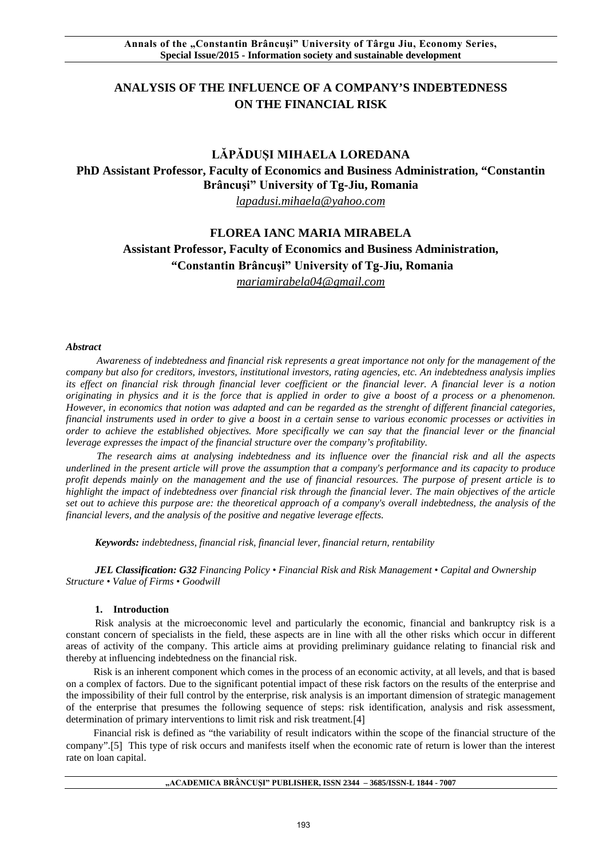## **ANALYSIS OF THE INFLUENCE OF A COMPANY'S INDEBTEDNESS ON THE FINANCIAL RISK**

# **LĂPĂDUȘI MIHAELA LOREDANA PhD Assistant Professor, Faculty of Economics and Business Administration, "Constantin Brâncuşi" University of Tg-Jiu, Romania**

*[lapadusi.mihaela@yahoo.com](mailto:lapadusi.mihaela@yahoo.com)* 

## **FLOREA IANC MARIA MIRABELA Assistant Professor, Faculty of Economics and Business Administration, "Constantin Brâncuşi" University of Tg-Jiu, Romania**  *[mariamirabela04@gmail.com](mailto:mariamirabela04@gmail.com)*

## *Abstract*

*Awareness of indebtedness and financial risk represents a great importance not only for the management of the company but also for creditors, investors, institutional investors, rating agencies, etc. An indebtedness analysis implies its effect on financial risk through financial lever coefficient or the financial lever. A financial lever is a notion originating in physics and it is the force that is applied in order to give a boost of a process or a phenomenon. However, in economics that notion was adapted and can be regarded as the strenght of different financial categories, financial instruments used in order to give a boost in a certain sense to various economic processes or activities in order to achieve the established objectives. More specifically we can say that the financial lever or the financial leverage expresses the impact of the financial structure over the company's profitability.* 

*The research aims at analysing indebtedness and its influence over the financial risk and all the aspects underlined in the present article will prove the assumption that a company's performance and its capacity to produce profit depends mainly on the management and the use of financial resources. The purpose of present article is to highlight the impact of indebtedness over financial risk through the financial lever. The main objectives of the article set out to achieve this purpose are: the theoretical approach of a company's overall indebtedness, the analysis of the financial levers, and the analysis of the positive and negative leverage effects.*

*Keywords: indebtedness, financial risk, financial lever, financial return, rentability*

*JEL Classification: G32 Financing Policy • Financial Risk and Risk Management • Capital and Ownership Structure • Value of Firms • Goodwill*

## **1. Introduction**

Risk analysis at the microeconomic level and particularly the economic, financial and bankruptcy risk is a constant concern of specialists in the field, these aspects are in line with all the other risks which occur in different areas of activity of the company. This article aims at providing preliminary guidance relating to financial risk and thereby at influencing indebtedness on the financial risk.

Risk is an inherent component which comes in the process of an economic activity, at all levels, and that is based on a complex of factors. Due to the significant potential impact of these risk factors on the results of the enterprise and the impossibility of their full control by the enterprise, risk analysis is an important dimension of strategic management of the enterprise that presumes the following sequence of steps: risk identification, analysis and risk assessment, determination of primary interventions to limit risk and risk treatment.<sup>[4]</sup>

Financial risk is defined as "the variability of result indicators within the scope of the financial structure of the company".[5] This type of risk occurs and manifests itself when the economic rate of return is lower than the interest rate on loan capital.

**"ACADEMICA BRÂNCUŞI" PUBLISHER, ISSN 2344 – 3685/ISSN-L 1844 - 7007**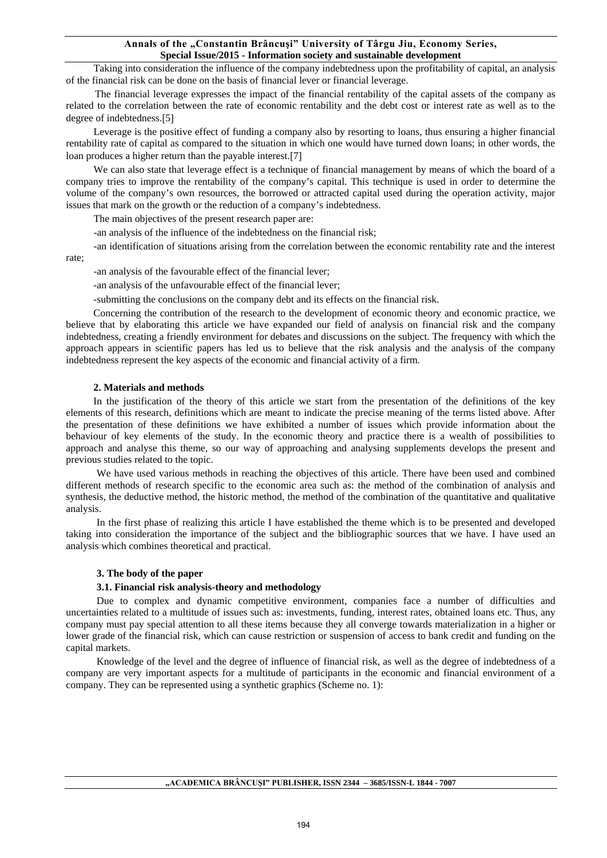Taking into consideration the influence of the company indebtedness upon the profitability of capital, an analysis of the financial risk can be done on the basis of financial lever or financial leverage.

The financial leverage expresses the impact of the financial rentability of the capital assets of the company as related to the correlation between the rate of economic rentability and the debt cost or interest rate as well as to the degree of indebtedness.[5]

Leverage is the positive effect of funding a company also by resorting to loans, thus ensuring a higher financial rentability rate of capital as compared to the situation in which one would have turned down loans; in other words, the loan produces a higher return than the payable interest.[7]

We can also state that leverage effect is a technique of financial management by means of which the board of a company tries to improve the rentability of the company's capital. This technique is used in order to determine the volume of the company's own resources, the borrowed or attracted capital used during the operation activity, major issues that mark on the growth or the reduction of a company's indebtedness.

The main objectives of the present research paper are:

-an analysis of the influence of the indebtedness on the financial risk;

-an identification of situations arising from the correlation between the economic rentability rate and the interest

rate;

-an analysis of the favourable effect of the financial lever;

-an analysis of the unfavourable effect of the financial lever;

-submitting the conclusions on the company debt and its effects on the financial risk.

Concerning the contribution of the research to the development of economic theory and economic practice, we believe that by elaborating this article we have expanded our field of analysis on financial risk and the company indebtedness, creating a friendly environment for debates and discussions on the subject. The frequency with which the approach appears in scientific papers has led us to believe that the risk analysis and the analysis of the company indebtedness represent the key aspects of the economic and financial activity of a firm.

#### **2. Materials and methods**

In the justification of the theory of this article we start from the presentation of the definitions of the key elements of this research, definitions which are meant to indicate the precise meaning of the terms listed above. After the presentation of these definitions we have exhibited a number of issues which provide information about the behaviour of key elements of the study. In the economic theory and practice there is a wealth of possibilities to approach and analyse this theme, so our way of approaching and analysing supplements develops the present and previous studies related to the topic.

We have used various methods in reaching the objectives of this article. There have been used and combined different methods of research specific to the economic area such as: the method of the combination of analysis and synthesis, the deductive method, the historic method, the method of the combination of the quantitative and qualitative analysis.

In the first phase of realizing this article I have established the theme which is to be presented and developed taking into consideration the importance of the subject and the bibliographic sources that we have. I have used an analysis which combines theoretical and practical.

## **3. The body of the paper**

## **3.1. Financial risk analysis-theory and methodology**

Due to complex and dynamic competitive environment, companies face a number of difficulties and uncertainties related to a multitude of issues such as: investments, funding, interest rates, obtained loans etc. Thus, any company must pay special attention to all these items because they all converge towards materialization in a higher or lower grade of the financial risk, which can cause restriction or suspension of access to bank credit and funding on the capital markets.

Knowledge of the level and the degree of influence of financial risk, as well as the degree of indebtedness of a company are very important aspects for a multitude of participants in the economic and financial environment of a company. They can be represented using a synthetic graphics (Scheme no. 1):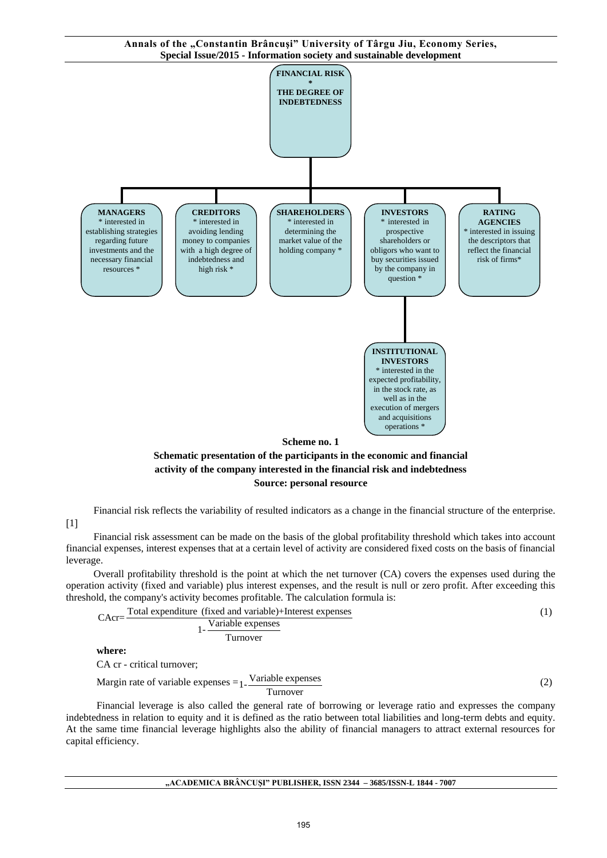



Financial risk reflects the variability of resulted indicators as a change in the financial structure of the enterprise.

Financial risk assessment can be made on the basis of the global profitability threshold which takes into account financial expenses, interest expenses that at a certain level of activity are considered fixed costs on the basis of financial leverage.

Overall profitability threshold is the point at which the net turnover (CA) covers the expenses used during the operation activity (fixed and variable) plus interest expenses, and the result is null or zero profit. After exceeding this threshold, the company's activity becomes profitable. The calculation formula is:

$$
CAcc = \frac{\text{Total expenditure (fixed and variable)} + \text{Interest expenses}}{1 - \frac{\text{Variable expenses}}{\text{Turnover}}}
$$
(1)

**where:**

 $[1]$ 

CA cr - critical turnover;

Margin rate of variable expenses  $=$   $1 - \frac{Variable$  expenses Turnover (2)

Financial leverage is also called the general rate of borrowing or leverage ratio and expresses the company indebtedness in relation to equity and it is defined as the ratio between total liabilities and long-term debts and equity. At the same time financial leverage highlights also the ability of financial managers to attract external resources for capital efficiency.

**"ACADEMICA BRÂNCUŞI" PUBLISHER, ISSN 2344 – 3685/ISSN-L 1844 - 7007**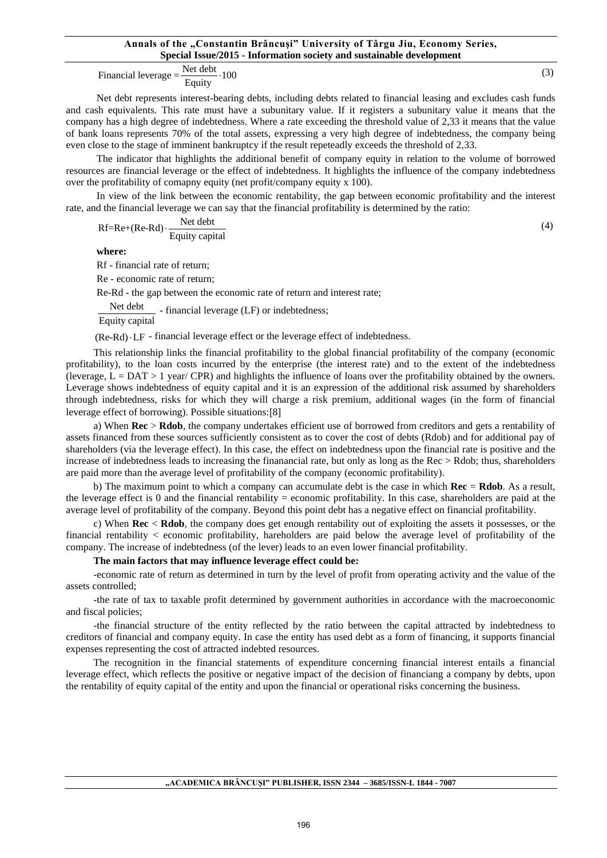(3)

Financial leverage  $=$   $\frac{\text{Net debt}}{\text{Equity}} \cdot 100$ ⋅

Net debt represents interest-bearing debts, including debts related to financial leasing and excludes cash funds and cash equivalents. This rate must have a subunitary value. If it registers a subunitary value it means that the company has a high degree of indebtedness. Where a rate exceeding the threshold value of 2,33 it means that the value of bank loans represents 70% of the total assets, expressing a very high degree of indebtedness, the company being even close to the stage of imminent bankruptcy if the result repeteadly exceeds the threshold of 2,33.

The indicator that highlights the additional benefit of company equity in relation to the volume of borrowed resources are financial leverage or the effect of indebtedness. It highlights the influence of the company indebtedness over the profitability of comapny equity (net profit/company equity x 100).

In view of the link between the economic rentability, the gap between economic profitability and the interest rate, and the financial leverage we can say that the financial profitability is determined by the ratio:

 $Rf=Re+(Re-Rd) \cdot \frac{Net debt}{Equity capital}$ ⋅

**where:**

Rf - financial rate of return;

Re - economic rate of return;

Re-Rd - the gap between the economic rate of return and interest rate;

Net debt - financial leverage (LF) or indebtedness;

Equity capital

(Re-Rd) · LF - financial leverage effect or the leverage effect of indebtedness.

This relationship links the financial profitability to the global financial profitability of the company (economic profitability), to the loan costs incurred by the enterprise (the interest rate) and to the extent of the indebtedness (leverage,  $L = DAT > 1$  year/ CPR) and highlights the influence of loans over the profitability obtained by the owners. Leverage shows indebtedness of equity capital and it is an expression of the additional risk assumed by shareholders through indebtedness, risks for which they will charge a risk premium, additional wages (in the form of financial leverage effect of borrowing). Possible situations:[8]

a) When **Rec** > **Rdob**, the company undertakes efficient use of borrowed from creditors and gets a rentability of assets financed from these sources sufficiently consistent as to cover the cost of debts (Rdob) and for additional pay of shareholders (via the leverage effect). In this case, the effect on indebtedness upon the financial rate is positive and the increase of indebtedness leads to increasing the finanancial rate, but only as long as the Rec > Rdob; thus, shareholders are paid more than the average level of profitability of the company (economic profitability).

b) The maximum point to which a company can accumulate debt is the case in which **Rec** = **Rdob**. As a result, the leverage effect is 0 and the financial rentability = economic profitability. In this case, shareholders are paid at the average level of profitability of the company. Beyond this point debt has a negative effect on financial profitability.

c) When **Rec** < **Rdob**, the company does get enough rentability out of exploiting the assets it possesses, or the financial rentability < economic profitability, hareholders are paid below the average level of profitability of the company. The increase of indebtedness (of the lever) leads to an even lower financial profitability.

#### **The main factors that may influence leverage effect could be:**

-economic rate of return as determined in turn by the level of profit from operating activity and the value of the assets controlled;

-the rate of tax to taxable profit determined by government authorities in accordance with the macroeconomic and fiscal policies;

-the financial structure of the entity reflected by the ratio between the capital attracted by indebtedness to creditors of financial and company equity. In case the entity has used debt as a form of financing, it supports financial expenses representing the cost of attracted indebted resources.

The recognition in the financial statements of expenditure concerning financial interest entails a financial leverage effect, which reflects the positive or negative impact of the decision of financiang a company by debts, upon the rentability of equity capital of the entity and upon the financial or operational risks concerning the business.

(4)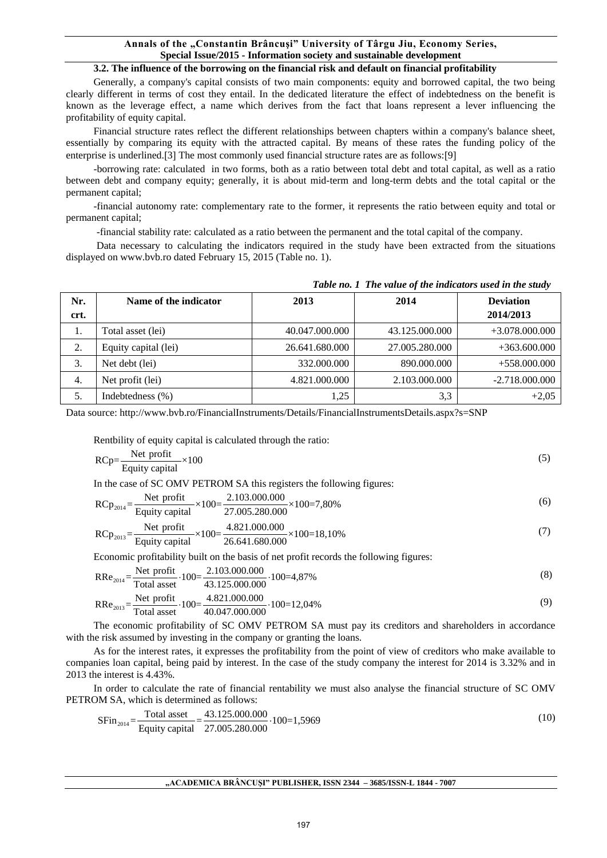#### **3.2. The influence of the borrowing on the financial risk and default on financial profitability**

Generally, a company's capital consists of two main components: equity and borrowed capital, the two being clearly different in terms of cost they entail. In the dedicated literature the effect of indebtedness on the benefit is known as the leverage effect, a name which derives from the fact that loans represent a lever influencing the profitability of equity capital.

Financial structure rates reflect the different relationships between chapters within a company's balance sheet, essentially by comparing its equity with the attracted capital. By means of these rates the funding policy of the enterprise is underlined.[3] The most commonly used financial structure rates are as follows:[9]

-borrowing rate: calculated in two forms, both as a ratio between total debt and total capital, as well as a ratio between debt and company equity; generally, it is about mid-term and long-term debts and the total capital or the permanent capital;

-financial autonomy rate: complementary rate to the former, it represents the ratio between equity and total or permanent capital;

-financial stability rate: calculated as a ratio between the permanent and the total capital of the company.

Data necessary to calculating the indicators required in the study have been extracted from the situations displayed on www.bvb.ro dated February 15, 2015 (Table no. 1).

|             |                       | Tubic no. I The raine of the maneuvers asculin the sharp |                |                               |
|-------------|-----------------------|----------------------------------------------------------|----------------|-------------------------------|
| Nr.<br>crt. | Name of the indicator | 2013                                                     | 2014           | <b>Deviation</b><br>2014/2013 |
| 1.          | Total asset (lei)     | 40.047.000.000                                           | 43.125.000.000 | $+3.078.000.000$              |
| 2.          | Equity capital (lei)  | 26.641.680.000                                           | 27.005.280.000 | $+363.600.000$                |
| 3.          | Net debt (lei)        | 332,000,000                                              | 890.000.000    | $+558.000.000$                |
| 4.          | Net profit (lei)      | 4.821.000.000                                            | 2.103.000.000  | $-2.718,000,000$              |
| 5.          | Indebtedness $(\% )$  | 1,25                                                     | 3,3            | $+2,05$                       |

|  |  |  | Table no. 1 The value of the indicators used in the study |  |  |
|--|--|--|-----------------------------------------------------------|--|--|
|--|--|--|-----------------------------------------------------------|--|--|

Data source: http://www.bvb.ro/FinancialInstruments/Details/FinancialInstrumentsDetails.aspx?s=SNP

Rentbility of equity capital is calculated through the ratio:

$$
RCp = \frac{Net profit}{Equity capital} \times 100
$$
\n
$$
5.83 \times 10^{14} \text{ PTTP} \times 100
$$
\n
$$
5.83 \times 10^{14} \text{ PTTP} \times 100
$$
\n
$$
5.83 \times 10^{14} \text{ PTTP} \times 100
$$
\n
$$
6.83 \times 10^{14} \text{ PTTP} \times 100
$$
\n
$$
6.83 \times 10^{14} \text{ PTTP} \times 100
$$
\n
$$
6.83 \times 10^{14} \text{ CTTP} \times 100
$$
\n
$$
6.83 \times 10^{14} \text{ CTTP} \times 100
$$
\n
$$
6.83 \times 10^{14} \text{ CTTP} \times 100
$$
\n
$$
6.83 \times 10^{14} \text{ CTTP} \times 100
$$
\n
$$
6.83 \times 10^{14} \text{ CTTP} \times 100
$$
\n
$$
6.83 \times 10^{14} \text{ CTTP} \times 100
$$
\n
$$
6.83 \times 10^{14} \text{ CTTP} \times 100
$$
\n
$$
6.83 \times 10^{14} \text{ CTTP} \times 100
$$
\n
$$
6.83 \times 10^{14} \text{ CTTP} \times 100
$$
\n
$$
6.83 \times 10^{14} \text{ CTTP} \times 100
$$
\n
$$
6.83 \times 10^{14} \text{ CTTP} \times 100
$$

In the case of SC OMV PETROM SA this registers the following figures:

$$
RCp_{2014} = \frac{Net \text{ profit}}{Equity \text{ capital}} \times 100 = \frac{2.103.000.000}{27.005.280.000} \times 100 = 7,80\%
$$
\n
$$
(6)
$$

$$
RCp_{2013} = \frac{\text{Net profit}}{\text{Equity capital}} \times 100 = \frac{4.821.000.000}{26.641.680.000} \times 100 = 18,10\%
$$
 (7)

Economic profitability built on the basis of net profit records the following figures:

$$
RRe_{2014} = \frac{\text{Net profit}}{\text{Total asset}} \cdot 100 = \frac{2.103.000.000}{43.125.000.000} \cdot 100 = 4,87\%
$$
\n
$$
(8)
$$

$$
RRe_{2013} = \frac{\text{Net profit}}{\text{Total asset}} \cdot 100 = \frac{4.821.000.000}{40.047.000.000} \cdot 100 = 12,04\%
$$
\n
$$
(9)
$$

The economic profitability of SC OMV PETROM SA must pay its creditors and shareholders in accordance with the risk assumed by investing in the company or granting the loans.

As for the interest rates, it expresses the profitability from the point of view of creditors who make available to companies loan capital, being paid by interest. In the case of the study company the interest for 2014 is 3.32% and in 2013 the interest is 4.43%.

In order to calculate the rate of financial rentability we must also analyse the financial structure of SC OMV PETROM SA, which is determined as follows:

$$
\text{SFin}_{2014} = \frac{\text{Total asset}}{\text{Equity capital}} = \frac{43.125.000.000}{27.005.280.000} \cdot 100 = 1,5969 \tag{10}
$$

#### **"ACADEMICA BRÂNCUŞI" PUBLISHER, ISSN 2344 – 3685/ISSN-L 1844 - 7007**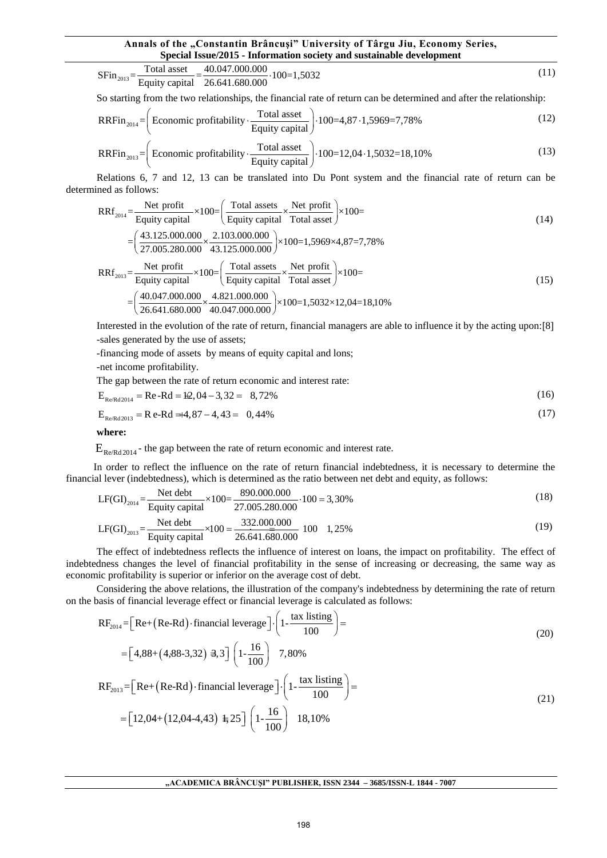$$
SFin_{2013} = \frac{\text{Total asset}}{\text{Equity capital}} = \frac{40.047.000.000}{26.641.680.000} \cdot 100 = 1,5032
$$
\n
$$
(11)
$$

So starting from the two relationships, the financial rate of return can be determined and after the relationship:

$$
RRFin_{2014} = \left( \text{Economic profitability} \cdot \frac{\text{Total asset}}{\text{Equity capital}} \right) \cdot 100 = 4,87 \cdot 1,5969 = 7,78\% \tag{12}
$$

$$
RRFin_{2013} = \left( \text{Economic profitability} \cdot \frac{\text{Total asset}}{\text{Equity capital}} \right) \cdot 100 = 12,04 \cdot 1,5032 = 18,10\% \tag{13}
$$

Relations 6, 7 and 12, 13 can be translated into Du Pont system and the financial rate of return can be determined as follows:

$$
RRf_{2014} = \frac{Net profit}{Equity capital} \times 100 = \left(\frac{Total assets}{Equity capital} \times \frac{Net profit}{Total asset}\right) \times 100 = \left(\frac{43.125.000.000}{27.005.280.000} \times \frac{2.103.000.000}{43.125.000.000}\right) \times 100 = 1,5969 \times 4,87 = 7,78\%
$$
\n(14)

$$
RRf_{2013} = \frac{\text{Net profit}}{\text{Equity capital}} \times 100 = \left(\frac{\text{Total assets}}{\text{Equity capital}} \times \frac{\text{Net profit}}{\text{Total asset}}\right) \times 100 = \left(\frac{40.047.000.000}{26.641.680.000} \times \frac{4.821.000.000}{40.047.000.000}\right) \times 100 = 1,5032 \times 12,04 = 18,10\%
$$
\n(15)

Interested in the evolution of the rate of return, financial managers are able to influence it by the acting upon:[8] -sales generated by the use of assets;

-financing mode of assets by means of equity capital and lons;

-net income profitability.

The gap between the rate of return economic and interest rate:

$$
E_{Re/Red2014} = Re - Rd = 12,04 - 3,32 = 8,72\%
$$
\n(16)

$$
E_{Re/Red2013} = Re-Rd = 4,87 - 4,43 = 0,44\%
$$
\n(17)

**where:**

 $E_{\text{Re/Rd 2014}}$  - the gap between the rate of return economic and interest rate.

In order to reflect the influence on the rate of return financial indebtedness, it is necessary to determine the financial lever (indebtedness), which is determined as the ratio between net debt and equity, as follows:

$$
LF(GI)_{2014} = \frac{\text{Net debt}}{\text{Equity capital}} \times 100 = \frac{890.000.000}{27.005.280.000} \cdot 100 = 3,30\% \tag{18}
$$

$$
LF(GI)_{2013} = \frac{\text{Net debt}}{\text{Equity capital}} \times 100 = \frac{332.000.000}{26.641.680.000} \times 100 = 1,25\%
$$
 (19)

The effect of indebtedness reflects the influence of interest on loans, the impact on profitability. The effect of indebtedness changes the level of financial profitability in the sense of increasing or decreasing, the same way as economic profitability is superior or inferior on the average cost of debt.

Considering the above relations, the illustration of the company's indebtedness by determining the rate of return on the basis of financial leverage effect or financial leverage is calculated as follows:

$$
RF_{2014} = [Re+(Re-Rd) \cdot \text{financial leverage}] \cdot \left(1 - \frac{\text{tax listing}}{100}\right) =
$$
\n
$$
= [4,88 + (4,88 - 3,32) \cdot 3,3] \cdot \left(1 - \frac{16}{100}\right) \cdot 7,80\%
$$
\n
$$
RF_{2013} = [Re+(Re-Rd) \cdot \text{financial leverage}] \cdot \left(1 - \frac{\text{tax listing}}{100}\right) =
$$
\n(21)

$$
= [12,04 + (12,04-4,43) \pm 25] \left(1 - \frac{16}{100}\right) \quad 18,10\%
$$
\n(21)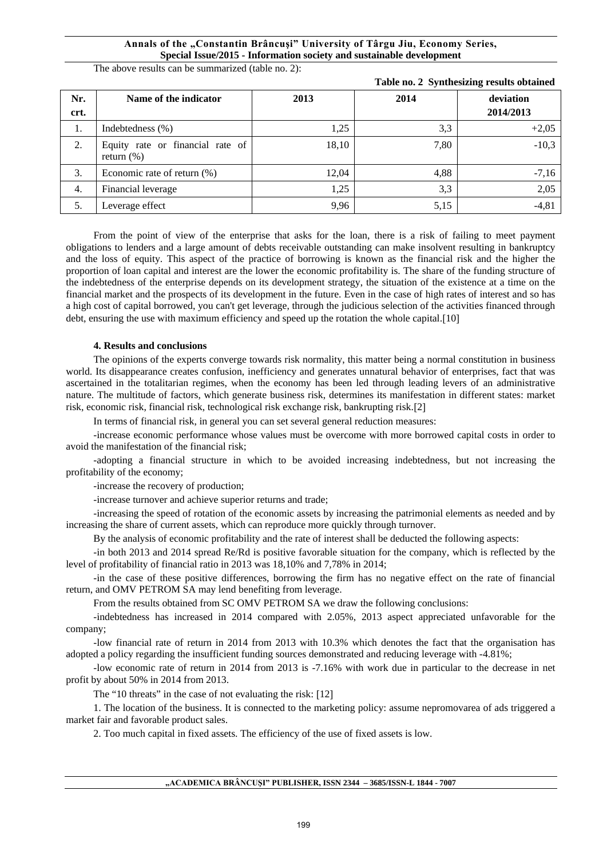The above results can be summarized (table no. 2):

 **Table no. 2 Synthesizing results obtained**

| Nr.<br>crt. | Name of the indicator                             | 2013  | 2014 | deviation<br>2014/2013 |
|-------------|---------------------------------------------------|-------|------|------------------------|
| 1.          | Indebtedness (%)                                  | 1,25  | 3,3  | $+2,05$                |
| 2.          | Equity rate or financial rate of<br>return $(\%)$ | 18,10 | 7,80 | $-10,3$                |
| 3.          | Economic rate of return $(\%)$                    | 12,04 | 4,88 | $-7,16$                |
| 4.          | Financial leverage                                | 1,25  | 3,3  | 2,05                   |
| 5.          | Leverage effect                                   | 9,96  | 5,15 | $-4, 81$               |

From the point of view of the enterprise that asks for the loan, there is a risk of failing to meet payment obligations to lenders and a large amount of debts receivable outstanding can make insolvent resulting in bankruptcy and the loss of equity. This aspect of the practice of borrowing is known as the financial risk and the higher the proportion of loan capital and interest are the lower the economic profitability is. The share of the funding structure of the indebtedness of the enterprise depends on its development strategy, the situation of the existence at a time on the financial market and the prospects of its development in the future. Even in the case of high rates of interest and so has a high cost of capital borrowed, you can't get leverage, through the judicious selection of the activities financed through debt, ensuring the use with maximum efficiency and speed up the rotation the whole capital.[10]

#### **4. Results and conclusions**

The opinions of the experts converge towards risk normality, this matter being a normal constitution in business world. Its disappearance creates confusion, inefficiency and generates unnatural behavior of enterprises, fact that was ascertained in the totalitarian regimes, when the economy has been led through leading levers of an administrative nature. The multitude of factors, which generate business risk, determines its manifestation in different states: market risk, economic risk, financial risk, technological risk exchange risk, bankrupting risk.[2]

In terms of financial risk, in general you can set several general reduction measures:

-increase economic performance whose values must be overcome with more borrowed capital costs in order to avoid the manifestation of the financial risk;

-adopting a financial structure in which to be avoided increasing indebtedness, but not increasing the profitability of the economy;

-increase the recovery of production;

-increase turnover and achieve superior returns and trade;

-increasing the speed of rotation of the economic assets by increasing the patrimonial elements as needed and by increasing the share of current assets, which can reproduce more quickly through turnover.

By the analysis of economic profitability and the rate of interest shall be deducted the following aspects:

-in both 2013 and 2014 spread Re/Rd is positive favorable situation for the company, which is reflected by the level of profitability of financial ratio in 2013 was 18,10% and 7,78% in 2014;

-in the case of these positive differences, borrowing the firm has no negative effect on the rate of financial return, and OMV PETROM SA may lend benefiting from leverage.

From the results obtained from SC OMV PETROM SA we draw the following conclusions:

-indebtedness has increased in 2014 compared with 2.05%, 2013 aspect appreciated unfavorable for the company;

-low financial rate of return in 2014 from 2013 with 10.3% which denotes the fact that the organisation has adopted a policy regarding the insufficient funding sources demonstrated and reducing leverage with -4.81%;

-low economic rate of return in 2014 from 2013 is -7.16% with work due in particular to the decrease in net profit by about 50% in 2014 from 2013.

The "10 threats" in the case of not evaluating the risk: [12]

1. The location of the business. It is connected to the marketing policy: assume nepromovarea of ads triggered a market fair and favorable product sales.

2. Too much capital in fixed assets. The efficiency of the use of fixed assets is low.